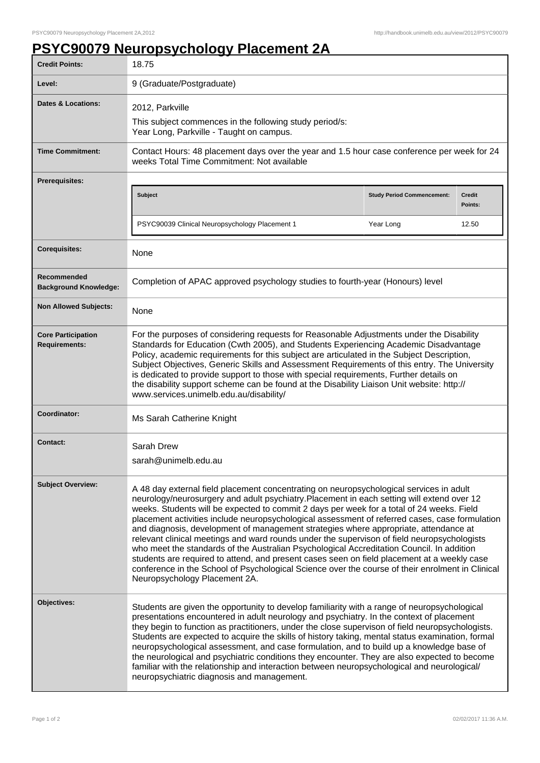## **PSYC90079 Neuropsychology Placement 2A**

| <b>Credit Points:</b>                             | 18.75                                                                                                                                                                                                                                                                                                                                                                                                                                                                                                                                                                                                                                                                                                                                                                                                                                                                                                       |                                   |                          |
|---------------------------------------------------|-------------------------------------------------------------------------------------------------------------------------------------------------------------------------------------------------------------------------------------------------------------------------------------------------------------------------------------------------------------------------------------------------------------------------------------------------------------------------------------------------------------------------------------------------------------------------------------------------------------------------------------------------------------------------------------------------------------------------------------------------------------------------------------------------------------------------------------------------------------------------------------------------------------|-----------------------------------|--------------------------|
| Level:                                            | 9 (Graduate/Postgraduate)                                                                                                                                                                                                                                                                                                                                                                                                                                                                                                                                                                                                                                                                                                                                                                                                                                                                                   |                                   |                          |
| <b>Dates &amp; Locations:</b>                     | 2012, Parkville<br>This subject commences in the following study period/s:<br>Year Long, Parkville - Taught on campus.                                                                                                                                                                                                                                                                                                                                                                                                                                                                                                                                                                                                                                                                                                                                                                                      |                                   |                          |
| <b>Time Commitment:</b>                           | Contact Hours: 48 placement days over the year and 1.5 hour case conference per week for 24<br>weeks Total Time Commitment: Not available                                                                                                                                                                                                                                                                                                                                                                                                                                                                                                                                                                                                                                                                                                                                                                   |                                   |                          |
| <b>Prerequisites:</b>                             |                                                                                                                                                                                                                                                                                                                                                                                                                                                                                                                                                                                                                                                                                                                                                                                                                                                                                                             |                                   |                          |
|                                                   | Subject                                                                                                                                                                                                                                                                                                                                                                                                                                                                                                                                                                                                                                                                                                                                                                                                                                                                                                     | <b>Study Period Commencement:</b> | <b>Credit</b><br>Points: |
|                                                   | PSYC90039 Clinical Neuropsychology Placement 1                                                                                                                                                                                                                                                                                                                                                                                                                                                                                                                                                                                                                                                                                                                                                                                                                                                              | Year Long                         | 12.50                    |
| <b>Corequisites:</b>                              | None                                                                                                                                                                                                                                                                                                                                                                                                                                                                                                                                                                                                                                                                                                                                                                                                                                                                                                        |                                   |                          |
| Recommended<br><b>Background Knowledge:</b>       | Completion of APAC approved psychology studies to fourth-year (Honours) level                                                                                                                                                                                                                                                                                                                                                                                                                                                                                                                                                                                                                                                                                                                                                                                                                               |                                   |                          |
| <b>Non Allowed Subjects:</b>                      | None                                                                                                                                                                                                                                                                                                                                                                                                                                                                                                                                                                                                                                                                                                                                                                                                                                                                                                        |                                   |                          |
| <b>Core Participation</b><br><b>Requirements:</b> | For the purposes of considering requests for Reasonable Adjustments under the Disability<br>Standards for Education (Cwth 2005), and Students Experiencing Academic Disadvantage<br>Policy, academic requirements for this subject are articulated in the Subject Description,<br>Subject Objectives, Generic Skills and Assessment Requirements of this entry. The University<br>is dedicated to provide support to those with special requirements, Further details on<br>the disability support scheme can be found at the Disability Liaison Unit website: http://<br>www.services.unimelb.edu.au/disability/                                                                                                                                                                                                                                                                                           |                                   |                          |
| Coordinator:                                      | Ms Sarah Catherine Knight                                                                                                                                                                                                                                                                                                                                                                                                                                                                                                                                                                                                                                                                                                                                                                                                                                                                                   |                                   |                          |
| <b>Contact:</b>                                   | Sarah Drew<br>sarah@unimelb.edu.au                                                                                                                                                                                                                                                                                                                                                                                                                                                                                                                                                                                                                                                                                                                                                                                                                                                                          |                                   |                          |
| <b>Subject Overview:</b>                          | A 48 day external field placement concentrating on neuropsychological services in adult<br>neurology/neurosurgery and adult psychiatry.Placement in each setting will extend over 12<br>weeks. Students will be expected to commit 2 days per week for a total of 24 weeks. Field<br>placement activities include neuropsychological assessment of referred cases, case formulation<br>and diagnosis, development of management strategies where appropriate, attendance at<br>relevant clinical meetings and ward rounds under the supervison of field neuropsychologists<br>who meet the standards of the Australian Psychological Accreditation Council. In addition<br>students are required to attend, and present cases seen on field placement at a weekly case<br>conference in the School of Psychological Science over the course of their enrolment in Clinical<br>Neuropsychology Placement 2A. |                                   |                          |
| Objectives:                                       | Students are given the opportunity to develop familiarity with a range of neuropsychological<br>presentations encountered in adult neurology and psychiatry. In the context of placement<br>they begin to function as practitioners, under the close supervison of field neuropsychologists.<br>Students are expected to acquire the skills of history taking, mental status examination, formal<br>neuropsychological assessment, and case formulation, and to build up a knowledge base of<br>the neurological and psychiatric conditions they encounter. They are also expected to become<br>familiar with the relationship and interaction between neuropsychological and neurological/<br>neuropsychiatric diagnosis and management.                                                                                                                                                                   |                                   |                          |